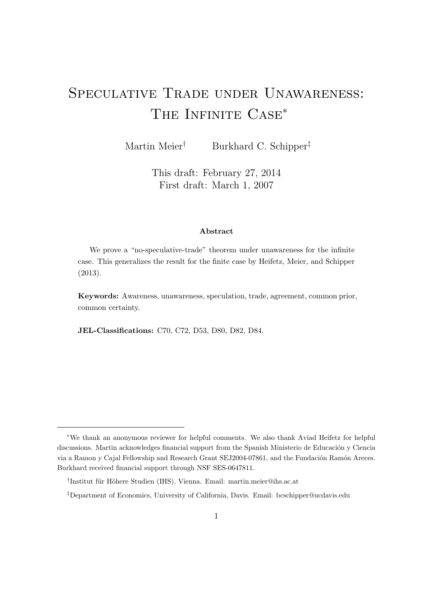# Speculative Trade under Unawareness: THE INFINITE  $CASE^*$

Martin Meier<sup>†</sup> Burkhard C. Schipper<sup>‡</sup>

This draft: February 27, 2014 First draft: March 1, 2007

#### Abstract

We prove a "no-speculative-trade" theorem under unawareness for the infinite case. This generalizes the result for the finite case by Heifetz, Meier, and Schipper (2013).

Keywords: Awareness, unawareness, speculation, trade, agreement, common prior, common certainty.

JEL-Classifications: C70, C72, D53, D80, D82, D84.

<sup>∗</sup>We thank an anonymous reviewer for helpful comments. We also thank Aviad Heifetz for helpful discussions. Martin acknowledges financial support from the Spanish Ministerio de Educación y Ciencia via a Ramon y Cajal Fellowship and Research Grant SEJ2004-07861, and the Fundación Ramón Areces. Burkhard received financial support through NSF SES-0647811.

<sup>&</sup>lt;sup>†</sup>Institut für Höhere Studien (IHS), Vienna. Email: martin.meier@ihs.ac.at

<sup>‡</sup>Department of Economics, University of California, Davis. Email: bcschipper@ucdavis.edu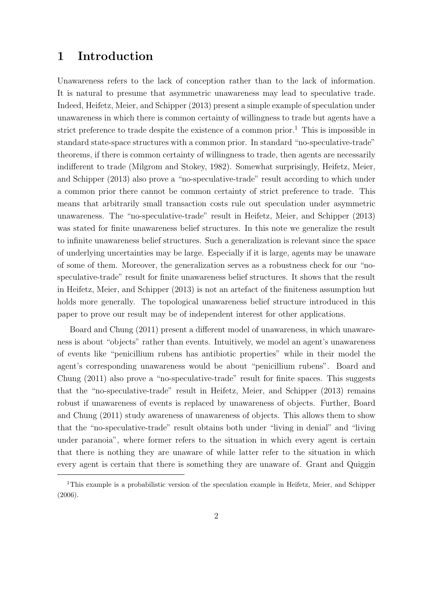### 1 Introduction

Unawareness refers to the lack of conception rather than to the lack of information. It is natural to presume that asymmetric unawareness may lead to speculative trade. Indeed, Heifetz, Meier, and Schipper (2013) present a simple example of speculation under unawareness in which there is common certainty of willingness to trade but agents have a strict preference to trade despite the existence of a common prior.<sup>1</sup> This is impossible in standard state-space structures with a common prior. In standard "no-speculative-trade" theorems, if there is common certainty of willingness to trade, then agents are necessarily indifferent to trade (Milgrom and Stokey, 1982). Somewhat surprisingly, Heifetz, Meier, and Schipper (2013) also prove a "no-speculative-trade" result according to which under a common prior there cannot be common certainty of strict preference to trade. This means that arbitrarily small transaction costs rule out speculation under asymmetric unawareness. The "no-speculative-trade" result in Heifetz, Meier, and Schipper (2013) was stated for finite unawareness belief structures. In this note we generalize the result to infinite unawareness belief structures. Such a generalization is relevant since the space of underlying uncertainties may be large. Especially if it is large, agents may be unaware of some of them. Moreover, the generalization serves as a robustness check for our "nospeculative-trade" result for finite unawareness belief structures. It shows that the result in Heifetz, Meier, and Schipper (2013) is not an artefact of the finiteness assumption but holds more generally. The topological unawareness belief structure introduced in this paper to prove our result may be of independent interest for other applications.

Board and Chung (2011) present a different model of unawareness, in which unawareness is about "objects" rather than events. Intuitively, we model an agent's unawareness of events like "penicillium rubens has antibiotic properties" while in their model the agent's corresponding unawareness would be about "penicillium rubens". Board and Chung (2011) also prove a "no-speculative-trade" result for finite spaces. This suggests that the "no-speculative-trade" result in Heifetz, Meier, and Schipper (2013) remains robust if unawareness of events is replaced by unawareness of objects. Further, Board and Chung (2011) study awareness of unawareness of objects. This allows them to show that the "no-speculative-trade" result obtains both under "living in denial" and "living under paranoia", where former refers to the situation in which every agent is certain that there is nothing they are unaware of while latter refer to the situation in which every agent is certain that there is something they are unaware of. Grant and Quiggin

<sup>&</sup>lt;sup>1</sup>This example is a probabilistic version of the speculation example in Heifetz, Meier, and Schipper (2006).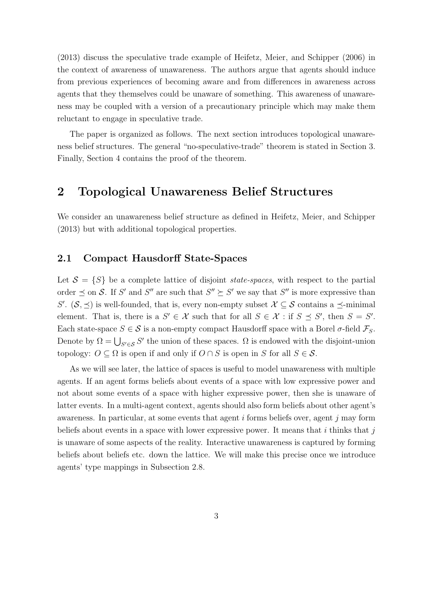(2013) discuss the speculative trade example of Heifetz, Meier, and Schipper (2006) in the context of awareness of unawareness. The authors argue that agents should induce from previous experiences of becoming aware and from differences in awareness across agents that they themselves could be unaware of something. This awareness of unawareness may be coupled with a version of a precautionary principle which may make them reluctant to engage in speculative trade.

The paper is organized as follows. The next section introduces topological unawareness belief structures. The general "no-speculative-trade" theorem is stated in Section 3. Finally, Section 4 contains the proof of the theorem.

### 2 Topological Unawareness Belief Structures

We consider an unawareness belief structure as defined in Heifetz, Meier, and Schipper (2013) but with additional topological properties.

#### 2.1 Compact Hausdorff State-Spaces

Let  $S = \{S\}$  be a complete lattice of disjoint *state-spaces*, with respect to the partial order  $\leq$  on S. If S' and S'' are such that  $S'' \succeq S'$  we say that S'' is more expressive than S'.  $(S, \preceq)$  is well-founded, that is, every non-empty subset  $\mathcal{X} \subseteq \mathcal{S}$  contains a  $\preceq$ -minimal element. That is, there is a  $S' \in \mathcal{X}$  such that for all  $S \in \mathcal{X}$ : if  $S \preceq S'$ , then  $S = S'$ . Each state-space  $S \in \mathcal{S}$  is a non-empty compact Hausdorff space with a Borel  $\sigma$ -field  $\mathcal{F}_S$ . Denote by  $\Omega = \bigcup_{S' \in \mathcal{S}} S'$  the union of these spaces.  $\Omega$  is endowed with the disjoint-union topology:  $O \subseteq \Omega$  is open if and only if  $O \cap S$  is open in S for all  $S \in \mathcal{S}$ .

As we will see later, the lattice of spaces is useful to model unawareness with multiple agents. If an agent forms beliefs about events of a space with low expressive power and not about some events of a space with higher expressive power, then she is unaware of latter events. In a multi-agent context, agents should also form beliefs about other agent's awareness. In particular, at some events that agent  $i$  forms beliefs over, agent  $j$  may form beliefs about events in a space with lower expressive power. It means that  $i$  thinks that  $j$ is unaware of some aspects of the reality. Interactive unawareness is captured by forming beliefs about beliefs etc. down the lattice. We will make this precise once we introduce agents' type mappings in Subsection 2.8.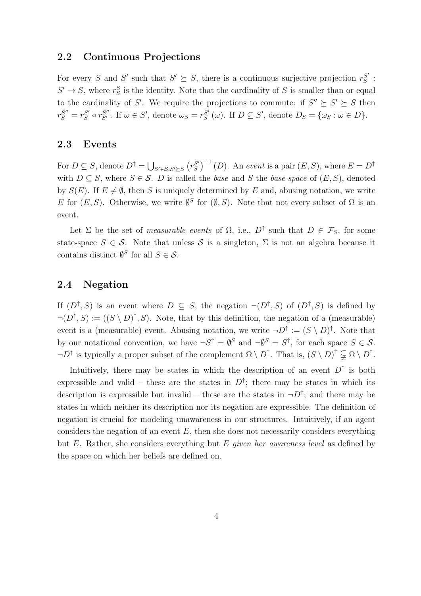#### 2.2 Continuous Projections

For every S and S' such that  $S' \succeq S$ , there is a continuous surjective projection  $r_S^{S'}$  $S^{'}\hskip.03cm :\hskip.03cm$  $S' \to S$ , where  $r_S^S$  is the identity. Note that the cardinality of S is smaller than or equal to the cardinality of S'. We require the projections to commute: if  $S'' \succeq S' \succeq S$  then  $r_S^{S''}=r_S^{S'}$  $S'_{S} \circ r_{S'}^{S''}$ . If  $\omega \in S'$ , denote  $\omega_{S} = r_{S}^{S'}$  $S'_{S}(\omega)$ . If  $D \subseteq S'$ , denote  $D_{S} = {\omega_{S} : \omega \in D}$ .

#### 2.3 Events

For  $D \subseteq S$ , denote  $D^{\uparrow} = \bigcup_{S' \in \mathcal{S}: S' \succeq S} (r_S^{S'})$  $S'_{S}$ <sup> $-1$ </sup> (*D*). An event is a pair (*E*, *S*), where  $E = D^{\uparrow}$ with  $D \subseteq S$ , where  $S \in \mathcal{S}$ . D is called the base and S the base-space of  $(E, S)$ , denoted by  $S(E)$ . If  $E \neq \emptyset$ , then S is uniquely determined by E and, abusing notation, we write E for  $(E, S)$ . Otherwise, we write  $\emptyset^S$  for  $(\emptyset, S)$ . Note that not every subset of  $\Omega$  is an event.

Let  $\Sigma$  be the set of *measurable events* of  $\Omega$ , i.e.,  $D^{\uparrow}$  such that  $D \in \mathcal{F}_S$ , for some state-space  $S \in \mathcal{S}$ . Note that unless  $\mathcal{S}$  is a singleton,  $\Sigma$  is not an algebra because it contains distinct  $\emptyset^S$  for all  $S \in \mathcal{S}$ .

#### 2.4 Negation

If  $(D^{\uparrow}, S)$  is an event where  $D \subseteq S$ , the negation  $\neg(D^{\uparrow}, S)$  of  $(D^{\uparrow}, S)$  is defined by  $\neg(D^{\uparrow}, S) := ((S \setminus D)^{\uparrow}, S)$ . Note, that by this definition, the negation of a (measurable) event is a (measurable) event. Abusing notation, we write  $\neg D^{\uparrow} := (S \setminus D)^{\uparrow}$ . Note that by our notational convention, we have  $\neg S^{\uparrow} = \emptyset^S$  and  $\neg \emptyset^S = S^{\uparrow}$ , for each space  $S \in \mathcal{S}$ .  $\neg D^{\uparrow}$  is typically a proper subset of the complement  $\Omega \setminus D^{\uparrow}$ . That is,  $(S \setminus D)^{\uparrow} \subsetneq \Omega \setminus D^{\uparrow}$ .

Intuitively, there may be states in which the description of an event  $D^{\uparrow}$  is both expressible and valid – these are the states in  $D^{\uparrow}$ ; there may be states in which its description is expressible but invalid – these are the states in  $\neg D^{\uparrow}$ ; and there may be states in which neither its description nor its negation are expressible. The definition of negation is crucial for modeling unawareness in our structures. Intuitively, if an agent considers the negation of an event  $E$ , then she does not necessarily considers everything but E. Rather, she considers everything but E given her awareness level as defined by the space on which her beliefs are defined on.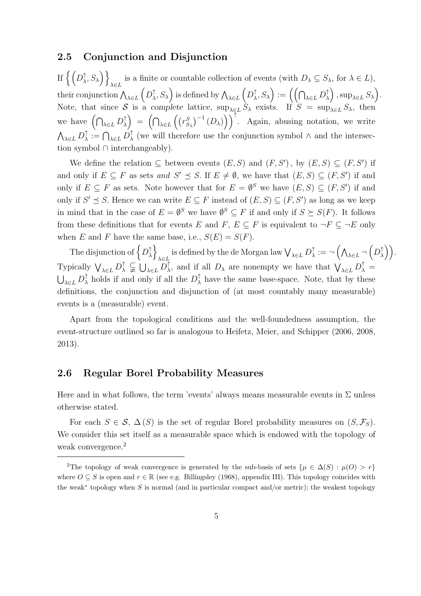#### 2.5 Conjunction and Disjunction

If  $\big\{ \big(D_\lambda^\uparrow$  $\left\{\zeta, S_{\lambda}\right\}\right\}_{\lambda \in I}$  is a finite or countable collection of events (with  $D_{\lambda} \subseteq S_{\lambda}$ , for  $\lambda \in L$ ),  $\lambda{\in}L$ their conjunction  $\bigwedge_{\lambda \in L} \left( D_{\lambda}^{\uparrow} \right)$  $\big(\bigwedge^\uparrow_\lambda, S_\lambda\big)$  is defined by  $\bigwedge_{\lambda \in L} \Big(D_\lambda^\uparrow$  $\big(\bigcap_{\lambda\in L}D^\uparrow_\lambda$  $\big(\begin{matrix} \uparrow \ \lambda \end{matrix}\big)$  ,  $\sup_{\lambda \in L} S_{\lambda}$ . Note, that since S is a complete lattice,  $\sup_{\lambda \in L} S_{\lambda}$  exists. If  $S = \sup_{\lambda \in L} S_{\lambda}$ , then we have  $\left(\bigcap_{\lambda \in L} D^\uparrow_\lambda\right)$  $\begin{pmatrix} \uparrow \\ \downarrow \end{pmatrix} = \left( \bigcap_{\lambda \in L} \left( \left( r_{S_{\lambda}}^{S} \right)^{-1} (D_{\lambda}) \right) \right)^{\uparrow}$ . Again, abusing notation, we write  $\bigwedge_{\lambda \in L} D^\uparrow_\lambda$  $\big\uparrow^{\uparrow}:=\bigcap_{\lambda\in L}D^{\uparrow}_{\lambda}$  $\lambda$  (we will therefore use the conjunction symbol  $\wedge$  and the intersection symbol ∩ interchangeably).

We define the relation  $\subseteq$  between events  $(E, S)$  and  $(F, S')$ , by  $(E, S) \subseteq (F, S')$  if and only if  $E \subseteq F$  as sets and  $S' \preceq S$ . If  $E \neq \emptyset$ , we have that  $(E, S) \subseteq (F, S')$  if and only if  $E \subseteq F$  as sets. Note however that for  $E = \emptyset^S$  we have  $(E, S) \subseteq (F, S')$  if and only if  $S' \preceq S$ . Hence we can write  $E \subseteq F$  instead of  $(E, S) \subseteq (F, S')$  as long as we keep in mind that in the case of  $E = \emptyset^S$  we have  $\emptyset^S \subseteq F$  if and only if  $S \succeq S(F)$ . It follows from these definitions that for events E and F,  $E \subseteq F$  is equivalent to  $\neg F \subseteq \neg E$  only when E and F have the same base, i.e.,  $S(E) = S(F)$ .

The disjunction of  $\big\{D^\uparrow_\lambda\big\}$  $\left\{ \begin{matrix} \uparrow \\ \lambda \end{matrix} \right\}$ is defined by the de Morgan law  $\bigvee_{\lambda \in L} D^\uparrow_\lambda$  $\hat{\mathbb{A}}^{\uparrow}:=\neg\left(\bigwedge_{\lambda\in L}\neg\left(D^{\uparrow}_{\lambda}\right)$  $\binom{\uparrow}{\lambda}$ . Typically  $\bigvee_{\lambda \in L} D_{\lambda}^{\uparrow} \subsetneq \bigcup_{\lambda \in L} D_{\lambda}^{\uparrow}$  $\bigwedge^{\uparrow}$ , and if all  $D_{\lambda}$  are nonempty we have that  $\bigvee_{\lambda \in L} D_{\lambda}^{\uparrow} =$  $\bigcup_{\lambda \in L} D^\uparrow_\lambda$  $\hat{\lambda}$  holds if and only if all the  $D^{\uparrow}_{\lambda}$  $\lambda$  have the same base-space. Note, that by these definitions, the conjunction and disjunction of (at most countably many measurable) events is a (measurable) event.

Apart from the topological conditions and the well-foundedness assumption, the event-structure outlined so far is analogous to Heifetz, Meier, and Schipper (2006, 2008, 2013).

#### 2.6 Regular Borel Probability Measures

Here and in what follows, the term 'events' always means measurable events in  $\Sigma$  unless otherwise stated.

For each  $S \in \mathcal{S}, \Delta(S)$  is the set of regular Borel probability measures on  $(S, \mathcal{F}_S)$ . We consider this set itself as a measurable space which is endowed with the topology of weak convergence.<sup>2</sup>

<sup>&</sup>lt;sup>2</sup>The topology of weak convergence is generated by the sub-basis of sets  $\{\mu \in \Delta(S) : \mu(0) > r\}$ where  $O \subseteq S$  is open and  $r \in \mathbb{R}$  (see e.g. Billingsley (1968), appendix III). This topology coincides with the weak<sup>∗</sup> topology when S is normal (and in particular compact and/or metric); the weakest topology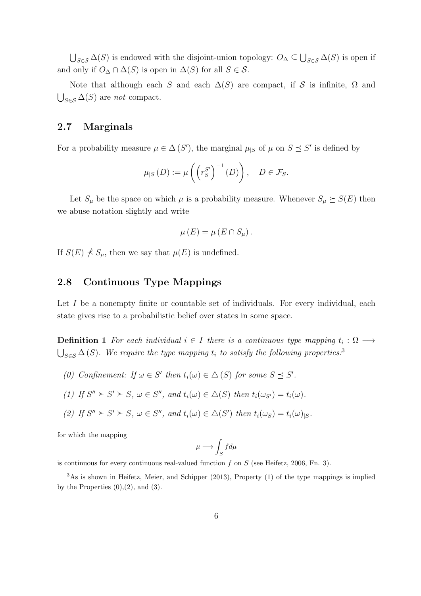$\bigcup_{S \in \mathcal{S}} \Delta(S)$  is endowed with the disjoint-union topology:  $O_{\Delta} \subseteq \bigcup_{S \in \mathcal{S}} \Delta(S)$  is open if and only if  $O_\Delta \cap \Delta(S)$  is open in  $\Delta(S)$  for all  $S \in \mathcal{S}$ .

Note that although each S and each  $\Delta(S)$  are compact, if S is infinite,  $\Omega$  and  $\bigcup_{S \in \mathcal{S}} \Delta(S)$  are not compact.

#### 2.7 Marginals

For a probability measure  $\mu \in \Delta(S')$ , the marginal  $\mu_{|S}$  of  $\mu$  on  $S \preceq S'$  is defined by

$$
\mu_{|S}(D) := \mu\left(\left(r_S^{S'}\right)^{-1}(D)\right), \quad D \in \mathcal{F}_S.
$$

Let  $S_{\mu}$  be the space on which  $\mu$  is a probability measure. Whenever  $S_{\mu} \succeq S(E)$  then we abuse notation slightly and write

$$
\mu(E) = \mu(E \cap S_{\mu}).
$$

If  $S(E) \npreceq S_\mu$ , then we say that  $\mu(E)$  is undefined.

#### 2.8 Continuous Type Mappings

Let I be a nonempty finite or countable set of individuals. For every individual, each state gives rise to a probabilistic belief over states in some space.

**Definition 1** For each individual  $i \in I$  there is a continuous type mapping  $t_i : \Omega \longrightarrow$  $\bigcup_{S \in \mathcal{S}} \Delta(S)$ . We require the type mapping  $t_i$  to satisfy the following properties.<sup>3</sup>

(0) Confinement: If  $\omega \in S'$  then  $t_i(\omega) \in \Delta(S)$  for some  $S \preceq S'$ .

(1) If 
$$
S'' \succeq S' \succeq S
$$
,  $\omega \in S''$ , and  $t_i(\omega) \in \Delta(S)$  then  $t_i(\omega_{S'}) = t_i(\omega)$ .

(2) If  $S'' \succeq S' \succeq S$ ,  $\omega \in S''$ , and  $t_i(\omega) \in \Delta(S')$  then  $t_i(\omega_S) = t_i(\omega)_{|S}$ .

for which the mapping

$$
\mu \longrightarrow \int_{S} f d\mu
$$

is continuous for every continuous real-valued function f on  $S$  (see Heifetz, 2006, Fn. 3).

<sup>3</sup>As is shown in Heifetz, Meier, and Schipper (2013), Property (1) of the type mappings is implied by the Properties  $(0), (2),$  and  $(3)$ .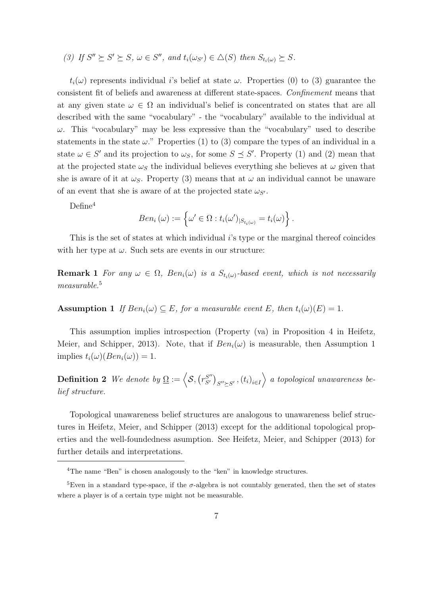(3) If 
$$
S'' \succeq S' \succeq S
$$
,  $\omega \in S''$ , and  $t_i(\omega_{S'}) \in \Delta(S)$  then  $S_{t_i(\omega)} \succeq S$ .

 $t_i(\omega)$  represents individual i's belief at state  $\omega$ . Properties (0) to (3) guarantee the consistent fit of beliefs and awareness at different state-spaces. Confinement means that at any given state  $\omega \in \Omega$  an individual's belief is concentrated on states that are all described with the same "vocabulary" - the "vocabulary" available to the individual at  $\omega$ . This "vocabulary" may be less expressive than the "vocabulary" used to describe statements in the state  $\omega$ ." Properties (1) to (3) compare the types of an individual in a state  $\omega \in S'$  and its projection to  $\omega_s$ , for some  $S \preceq S'$ . Property (1) and (2) mean that at the projected state  $\omega_{\mathcal{S}}$  the individual believes everything she believes at  $\omega$  given that she is aware of it at  $\omega_s$ . Property (3) means that at  $\omega$  an individual cannot be unaware of an event that she is aware of at the projected state  $\omega_{S}$ .

 $Define<sup>4</sup>$ 

$$
Ben_i(\omega) := \left\{ \omega' \in \Omega : t_i(\omega')_{|S_{t_i(\omega)}} = t_i(\omega) \right\}.
$$

This is the set of states at which individual i's type or the marginal thereof coincides with her type at  $\omega$ . Such sets are events in our structure:

**Remark 1** For any  $\omega \in \Omega$ ,  $Ben_i(\omega)$  is a  $S_{t_i(\omega)}$ -based event, which is not necessarily measurable.<sup>5</sup>

**Assumption 1** If  $Ben_i(\omega) \subseteq E$ , for a measurable event E, then  $t_i(\omega)(E) = 1$ .

This assumption implies introspection (Property (va) in Proposition 4 in Heifetz, Meier, and Schipper, 2013). Note, that if  $Ben_i(\omega)$  is measurable, then Assumption 1 implies  $t_i(\omega)(Ben_i(\omega)) = 1$ .

**Definition 2** We denote by  $\Omega := \langle S, (r_{S'}^{S''}) \rangle$  $\left(S'\right)_{S''\succeq S'}$  ,  $\left(t_i\right)_{i\in I}$  a topological unawareness belief structure.

Topological unawareness belief structures are analogous to unawareness belief structures in Heifetz, Meier, and Schipper (2013) except for the additional topological properties and the well-foundedness asumption. See Heifetz, Meier, and Schipper (2013) for further details and interpretations.

<sup>&</sup>lt;sup>4</sup>The name "Ben" is chosen analogously to the "ken" in knowledge structures.

<sup>&</sup>lt;sup>5</sup>Even in a standard type-space, if the  $\sigma$ -algebra is not countably generated, then the set of states where a player is of a certain type might not be measurable.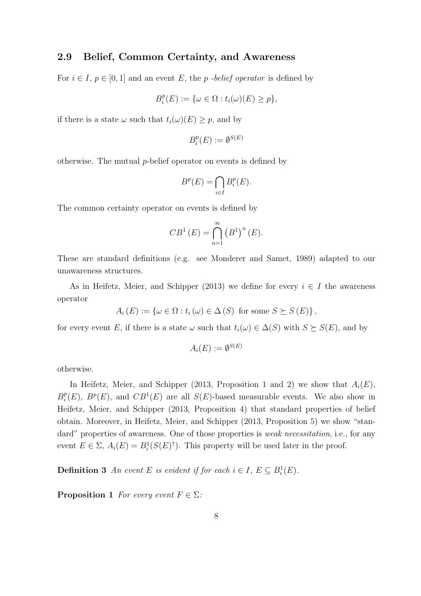#### 2.9 Belief, Common Certainty, and Awareness

For  $i \in I$ ,  $p \in [0, 1]$  and an event E, the p-belief operator is defined by

$$
B_i^p(E) := \{ \omega \in \Omega : t_i(\omega)(E) \ge p \},
$$

if there is a state  $\omega$  such that  $t_i(\omega)(E) \geq p$ , and by

$$
B_i^p(E) := \emptyset^{S(E)}
$$

otherwise. The mutual  $p$ -belief operator on events is defined by

$$
B^p(E) = \bigcap_{i \in I} B_i^p(E).
$$

The common certainty operator on events is defined by

$$
CB^{1}(E) = \bigcap_{n=1}^{\infty} (B^{1})^{n}(E).
$$

These are standard definitions (e.g. see Monderer and Samet, 1989) adapted to our unawareness structures.

As in Heifetz, Meier, and Schipper (2013) we define for every  $i \in I$  the awareness operator

$$
A_i(E) := \{ \omega \in \Omega : t_i(\omega) \in \Delta(S) \text{ for some } S \succeq S(E) \},
$$

for every event E, if there is a state  $\omega$  such that  $t_i(\omega) \in \Delta(S)$  with  $S \succeq S(E)$ , and by

$$
A_i(E) := \emptyset^{S(E)}
$$

otherwise.

In Heifetz, Meier, and Schipper (2013, Proposition 1 and 2) we show that  $A_i(E)$ ,  $B_i^p$  $i(E)$ ,  $B^p(E)$ , and  $CB^1(E)$  are all  $S(E)$ -based measurable events. We also show in Heifetz, Meier, and Schipper (2013, Proposition 4) that standard properties of belief obtain. Moreover, in Heifetz, Meier, and Schipper (2013, Proposition 5) we show "standard" properties of awareness. One of those properties is *weak necessitation*, i.e., for any event  $E \in \Sigma$ ,  $A_i(E) = B_i^1(S(E)^{\dagger})$ . This property will be used later in the proof.

**Definition 3** An event E is evident if for each  $i \in I$ ,  $E \subseteq B_i^1(E)$ .

**Proposition 1** For every event  $F \in \Sigma$ :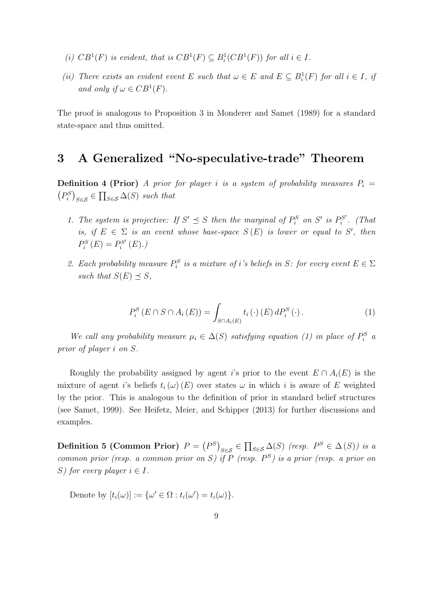- (i)  $CB^1(F)$  is evident, that is  $CB^1(F) \subseteq B^1_i(CB^1(F))$  for all  $i \in I$ .
- (ii) There exists an evident event E such that  $\omega \in E$  and  $E \subseteq B_i^1(F)$  for all  $i \in I$ , if and only if  $\omega \in CB^1(F)$ .

The proof is analogous to Proposition 3 in Monderer and Samet (1989) for a standard state-space and thus omitted.

### 3 A Generalized "No-speculative-trade" Theorem

**Definition 4 (Prior)** A prior for player i is a system of probability measures  $P_i =$  $(P_i^S)_{S \in \mathcal{S}} \in \prod_{S \in \mathcal{S}} \Delta(S)$  such that

- 1. The system is projective: If  $S' \preceq S$  then the marginal of  $P_i^S$  on  $S'$  is  $P_i^{S'}$  $\mathcal{C}^{S'}_i$ . (That is, if  $E \in \Sigma$  is an event whose base-space  $S(E)$  is lower or equal to S', then  $P_i^S(E) = P_i^{S'}$  $\mathfrak{h}^{S'}_i\left(E\right)$ .)
- 2. Each probability measure  $P_i^S$  is a mixture of i's beliefs in S: for every event  $E \in \Sigma$ such that  $S(E) \preceq S$ ,

$$
P_i^S(E \cap S \cap A_i(E)) = \int_{S \cap A_i(E)} t_i(\cdot) (E) dP_i^S(\cdot).
$$
 (1)

We call any probability measure  $\mu_i \in \Delta(S)$  satisfying equation (1) in place of  $P_i^S$  a prior of player i on S.

Roughly the probability assigned by agent i's prior to the event  $E \cap A_i(E)$  is the mixture of agent i's beliefs  $t_i(\omega)(E)$  over states  $\omega$  in which i is aware of E weighted by the prior. This is analogous to the definition of prior in standard belief structures (see Samet, 1999). See Heifetz, Meier, and Schipper (2013) for further discussions and examples.

Definition 5 (Common Prior)  $P = (P^S)_{S \in \mathcal{S}} \in \prod_{S \in \mathcal{S}} \Delta(S)$  (resp.  $P^S \in \Delta(S)$ ) is a common prior (resp. a common prior on S) if P (resp.  $P^S$ ) is a prior (resp. a prior on S) for every player  $i \in I$ .

Denote by  $[t_i(\omega)] := {\omega' \in \Omega : t_i(\omega') = t_i(\omega)}.$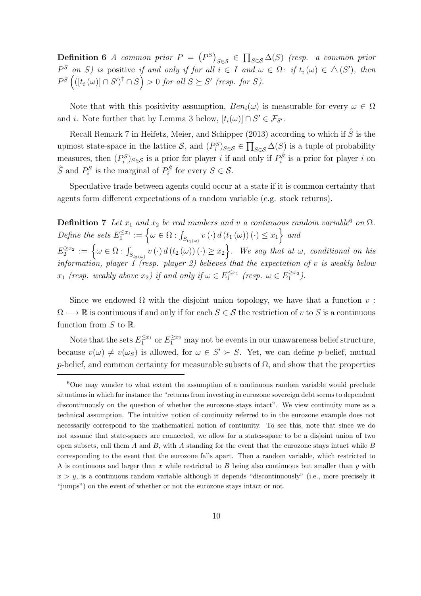**Definition 6** A common prior  $P = (P^S)_{S \in \mathcal{S}} \in \prod_{S \in \mathcal{S}} \Delta(S)$  (resp. a common prior  $P^S$  on S) is positive if and only if for all  $i \in I$  and  $\omega \in \Omega$ : if  $t_i(\omega) \in \Delta(S')$ , then  $P^{S} \left( ([t_i(\omega)] \cap S')^{\uparrow} \cap S \right) > 0$  for all  $S \succeq S'$  (resp. for S).

Note that with this positivity assumption,  $Ben_i(\omega)$  is measurable for every  $\omega \in \Omega$ and *i*. Note further that by Lemma 3 below,  $[t_i(\omega)] \cap S' \in \mathcal{F}_{S'}$ .

Recall Remark 7 in Heifetz, Meier, and Schipper (2013) according to which if  $\hat{S}$  is the upmost state-space in the lattice S, and  $(P_i^S)_{S \in S} \in \prod_{S \in S} \Delta(S)$  is a tuple of probability measures, then  $(P_i^S)_{S \in \mathcal{S}}$  is a prior for player i if and only if  $P_i^{\hat{S}}$  is a prior for player i on  $\hat{S}$  and  $P_i^S$  is the marginal of  $P_i^{\hat{S}}$  for every  $S \in \mathcal{S}$ .

Speculative trade between agents could occur at a state if it is common certainty that agents form different expectations of a random variable (e.g. stock returns).

**Definition 7** Let  $x_1$  and  $x_2$  be real numbers and v a continuous random variable<sup>6</sup> on  $\Omega$ . Define the sets  $E_1^{\leq x_1} := \left\{ \omega \in \Omega : \int_{S_{t_1(\omega)}} v(\cdot) d(t_1(\omega))(\cdot) \leq x_1 \right\}$  and  $E_2^{\geq x_2} := \left\{ \omega \in \Omega : \int_{S_{t_2(\omega)}} v(\cdot) d(t_2(\omega))(\cdot) \geq x_2 \right\}$ . We say that at  $\omega$ , conditional on his information, player 1 (resp. player 2) believes that the expectation of  $v$  is weakly below  $x_1$  (resp. weakly above  $x_2$ ) if and only if  $\omega \in E_1^{\leq x_1}$  (resp.  $\omega \in E_1^{\geq x_2}$ ).

Since we endowed  $\Omega$  with the disjoint union topology, we have that a function  $v$ :  $\Omega \longrightarrow \mathbb{R}$  is continuous if and only if for each  $S \in \mathcal{S}$  the restriction of v to S is a continuous function from  $S$  to  $\mathbb{R}$ .

Note that the sets  $E_1^{\leq x_1}$  or  $E_1^{\geq x_2}$  may not be events in our unawareness belief structure, because  $v(\omega) \neq v(\omega_S)$  is allowed, for  $\omega \in S' \succ S$ . Yet, we can define p-belief, mutual p-belief, and common certainty for measurable subsets of  $\Omega$ , and show that the properties

<sup>6</sup>One may wonder to what extent the assumption of a continuous random variable would preclude situations in which for instance the "returns from investing in eurozone sovereign debt seems to dependent discontinuously on the question of whether the eurozone stays intact". We view continuity more as a technical assumption. The intuitive notion of continuity referred to in the eurozone example does not necessarily correspond to the mathematical notion of continuity. To see this, note that since we do not assume that state-spaces are connected, we allow for a states-space to be a disjoint union of two open subsets, call them  $A$  and  $B$ , with  $A$  standing for the event that the eurozone stays intact while  $B$ corresponding to the event that the eurozone falls apart. Then a random variable, which restricted to A is continuous and larger than x while restricted to  $B$  being also continuous but smaller than y with  $x > y$ , is a continuous random variable although it depends "discontinuously" (i.e., more precisely it "jumps") on the event of whether or not the eurozone stays intact or not.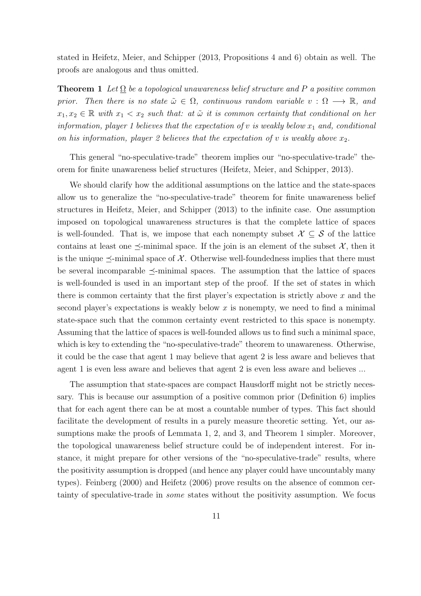stated in Heifetz, Meier, and Schipper (2013, Propositions 4 and 6) obtain as well. The proofs are analogous and thus omitted.

**Theorem 1** Let  $\Omega$  be a topological unawareness belief structure and P a positive common prior. Then there is no state  $\tilde{\omega} \in \Omega$ , continuous random variable  $v : \Omega \longrightarrow \mathbb{R}$ , and  $x_1, x_2 \in \mathbb{R}$  with  $x_1 < x_2$  such that: at  $\tilde{\omega}$  it is common certainty that conditional on her information, player 1 believes that the expectation of v is weakly below  $x_1$  and, conditional on his information, player 2 believes that the expectation of v is weakly above  $x_2$ .

This general "no-speculative-trade" theorem implies our "no-speculative-trade" theorem for finite unawareness belief structures (Heifetz, Meier, and Schipper, 2013).

We should clarify how the additional assumptions on the lattice and the state-spaces allow us to generalize the "no-speculative-trade" theorem for finite unawareness belief structures in Heifetz, Meier, and Schipper (2013) to the infinite case. One assumption imposed on topological unawareness structures is that the complete lattice of spaces is well-founded. That is, we impose that each nonempty subset  $\mathcal{X} \subseteq \mathcal{S}$  of the lattice contains at least one  $\preceq$ -minimal space. If the join is an element of the subset X, then it is the unique  $\preceq$ -minimal space of X. Otherwise well-foundedness implies that there must be several incomparable  $\preceq$ -minimal spaces. The assumption that the lattice of spaces is well-founded is used in an important step of the proof. If the set of states in which there is common certainty that the first player's expectation is strictly above  $x$  and the second player's expectations is weakly below  $x$  is nonempty, we need to find a minimal state-space such that the common certainty event restricted to this space is nonempty. Assuming that the lattice of spaces is well-founded allows us to find such a minimal space, which is key to extending the "no-speculative-trade" theorem to unawareness. Otherwise, it could be the case that agent 1 may believe that agent 2 is less aware and believes that agent 1 is even less aware and believes that agent 2 is even less aware and believes ...

The assumption that state-spaces are compact Hausdorff might not be strictly necessary. This is because our assumption of a positive common prior (Definition 6) implies that for each agent there can be at most a countable number of types. This fact should facilitate the development of results in a purely measure theoretic setting. Yet, our assumptions make the proofs of Lemmata 1, 2, and 3, and Theorem 1 simpler. Moreover, the topological unawareness belief structure could be of independent interest. For instance, it might prepare for other versions of the "no-speculative-trade" results, where the positivity assumption is dropped (and hence any player could have uncountably many types). Feinberg (2000) and Heifetz (2006) prove results on the absence of common certainty of speculative-trade in some states without the positivity assumption. We focus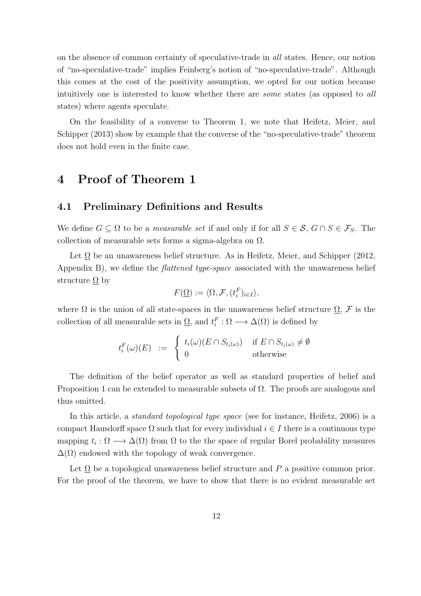on the absence of common certainty of speculative-trade in all states. Hence, our notion of "no-speculative-trade" implies Feinberg's notion of "no-speculative-trade". Although this comes at the cost of the positivity assumption, we opted for our notion because intuitively one is interested to know whether there are some states (as opposed to all states) where agents speculate.

On the feasibility of a converse to Theorem 1, we note that Heifetz, Meier, and Schipper (2013) show by example that the converse of the "no-speculative-trade" theorem does not hold even in the finite case.

### 4 Proof of Theorem 1

#### 4.1 Preliminary Definitions and Results

We define  $G \subseteq \Omega$  to be a *measurable set* if and only if for all  $S \in \mathcal{S}, G \cap S \in \mathcal{F}_S$ . The collection of measurable sets forms a sigma-algebra on  $\Omega$ .

Let  $\Omega$  be an unawareness belief structure. As in Heifetz, Meier, and Schipper (2012, Appendix B), we define the *flattened type-space* associated with the unawareness belief structure  $\Omega$  by

$$
F(\underline{\Omega}) := \langle \Omega, \mathcal{F}, (t_i^F)_{i \in I} \rangle,
$$

where  $\Omega$  is the union of all state-spaces in the unawareness belief structure  $\Omega$ ,  $\mathcal F$  is the collection of all measurable sets in  $\underline{\Omega}$ , and  $t_i^F : \Omega \longrightarrow \Delta(\Omega)$  is defined by

$$
t_i^F(\omega)(E) := \begin{cases} t_i(\omega)(E \cap S_{t_i(\omega)}) & \text{if } E \cap S_{t_i(\omega)} \neq \emptyset \\ 0 & \text{otherwise} \end{cases}
$$

The definition of the belief operator as well as standard properties of belief and Proposition 1 can be extended to measurable subsets of  $\Omega$ . The proofs are analogous and thus omitted.

In this article, a standard topological type space (see for instance, Heifetz, 2006) is a compact Hausdorff space  $\Omega$  such that for every individual  $i \in I$  there is a continuous type mapping  $t_i : \Omega \longrightarrow \Delta(\Omega)$  from  $\Omega$  to the the space of regular Borel probability measures  $\Delta(\Omega)$  endowed with the topology of weak convergence.

Let  $\Omega$  be a topological unawareness belief structure and P a positive common prior. For the proof of the theorem, we have to show that there is no evident measurable set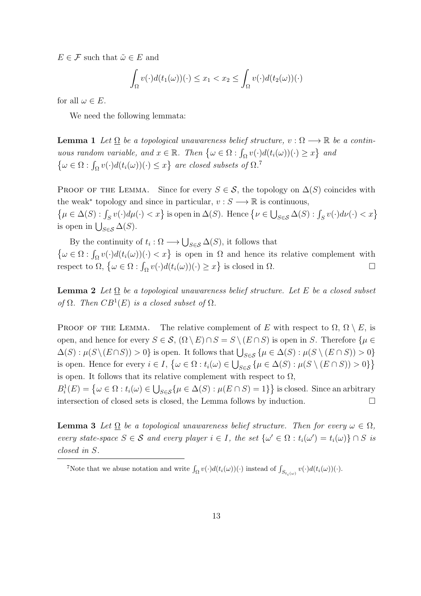$E \in \mathcal{F}$  such that  $\tilde{\omega} \in E$  and

$$
\int_{\Omega} v(\cdot) d(t_1(\omega))(\cdot) \leq x_1 < x_2 \leq \int_{\Omega} v(\cdot) d(t_2(\omega))(\cdot)
$$

for all  $\omega \in E$ .

We need the following lemmata:

**Lemma 1** Let  $\Omega$  be a topological unawareness belief structure,  $v : \Omega \longrightarrow \mathbb{R}$  be a continuous random variable, and  $x \in \mathbb{R}$ . Then  $\{\omega \in \Omega : \int_{\Omega} v(\cdot) d(t_i(\omega))(\cdot) \geq x\}$  and  $\{\omega \in \Omega : \int_{\Omega} v(\cdot) d(t_i(\omega))(\cdot) \leq x\}$  are closed subsets of  $\Omega$ .<sup>7</sup>

PROOF OF THE LEMMA. Since for every  $S \in \mathcal{S}$ , the topology on  $\Delta(S)$  coincides with the weak<sup>\*</sup> topology and since in particular,  $v : S \longrightarrow \mathbb{R}$  is continuous,  $\{\mu \in \Delta(S) : \int_S v(\cdot) d\mu(\cdot) < x\}$  is open in  $\Delta(S)$ . Hence  $\{\nu \in \bigcup_{S \in \mathcal{S}} \Delta(S) : \int_S v(\cdot) d\nu(\cdot) < x\}$ is open in  $\bigcup_{S \in \mathcal{S}} \Delta(S)$ .

By the continuity of  $t_i : \Omega \longrightarrow \bigcup_{S \in \mathcal{S}} \Delta(S)$ , it follows that  $\{\omega \in \Omega : \int_{\Omega} v(\cdot) d(t_i(\omega))(\cdot) < x\}$  is open in  $\Omega$  and hence its relative complement with respect to  $\Omega$ ,  $\{\omega \in \Omega : \int_{\Omega} v(\cdot) d(t_i(\omega))(\cdot) \geq x\}$  is closed in  $\Omega$ .

**Lemma 2** Let  $\Omega$  be a topological unawareness belief structure. Let E be a closed subset of  $\Omega$ . Then  $CB^1(E)$  is a closed subset of  $\Omega$ .

**PROOF OF THE LEMMA.** The relative complement of E with respect to  $\Omega$ ,  $\Omega \setminus E$ , is open, and hence for every  $S \in \mathcal{S}$ ,  $(\Omega \setminus E) \cap S = S \setminus (E \cap S)$  is open in S. Therefore  $\{\mu \in$  $\Delta(S) : \mu(S \setminus (E \cap S)) > 0$  is open. It follows that  $\bigcup_{S \in \mathcal{S}} \{\mu \in \Delta(S) : \mu(S \setminus (E \cap S)) > 0\}$ is open. Hence for every  $i \in I$ ,  $\{\omega \in \Omega : t_i(\omega) \in \bigcup_{S \in \mathcal{S}} \{\mu \in \Delta(S) : \mu(S \setminus (E \cap S)) > 0\}\}\$ is open. It follows that its relative complement with respect to  $\Omega$ ,

 $B_i^1(E) = \{ \omega \in \Omega : t_i(\omega) \in \bigcup_{S \in \mathcal{S}} \{ \mu \in \Delta(S) : \mu(E \cap S) = 1 \} \}$  is closed. Since an arbitrary intersection of closed sets is closed, the Lemma follows by induction.  $\Box$ 

**Lemma 3** Let  $\Omega$  be a topological unawareness belief structure. Then for every  $\omega \in \Omega$ , every state-space  $S \in \mathcal{S}$  and every player  $i \in I$ , the set  $\{\omega' \in \Omega : t_i(\omega') = t_i(\omega)\} \cap S$  is closed in S.

To that we abuse notation and write  $\int_{\Omega} v(\cdot) d(t_i(\omega))(\cdot)$  instead of  $\int_{S_{t_i(\omega)}} v(\cdot) d(t_i(\omega))(\cdot)$ .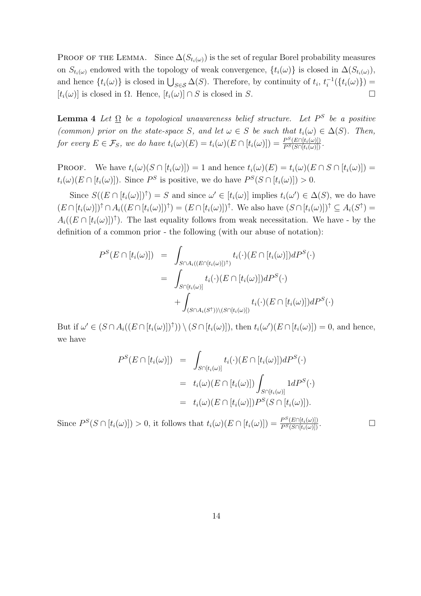PROOF OF THE LEMMA. Since  $\Delta(S_{t_i(\omega)})$  is the set of regular Borel probability measures on  $S_{t_i(\omega)}$  endowed with the topology of weak convergence,  $\{t_i(\omega)\}\$ is closed in  $\Delta(S_{t_i(\omega)})$ , and hence  $\{t_i(\omega)\}\$ is closed in  $\bigcup_{S\in\mathcal{S}}\Delta(S)$ . Therefore, by continuity of  $t_i$ ,  $t_i^{-1}$  $\frac{1}{i}(\{t_i(\omega)\}) =$  $[t_i(\omega)]$  is closed in  $\Omega$ . Hence,  $[t_i(\omega)] \cap S$  is closed in S.

**Lemma 4** Let  $\Omega$  be a topological unawareness belief structure. Let  $P^S$  be a positive (common) prior on the state-space S, and let  $\omega \in S$  be such that  $t_i(\omega) \in \Delta(S)$ . Then, for every  $E \in \mathcal{F}_S$ , we do have  $t_i(\omega)(E) = t_i(\omega)(E \cap [t_i(\omega)]) = \frac{P^S(E \cap [t_i(\omega)])}{P^S(S \cap [t_i(\omega)])}$ .

**PROOF.** We have  $t_i(\omega)(S \cap [t_i(\omega)]) = 1$  and hence  $t_i(\omega)(E) = t_i(\omega)(E \cap S \cap [t_i(\omega)]) =$  $t_i(\omega)(E \cap [t_i(\omega)]).$  Since  $P^S$  is positive, we do have  $P^S(S \cap [t_i(\omega)]) > 0.$ 

Since  $S((E \cap [t_i(\omega)])^{\uparrow}) = S$  and since  $\omega' \in [t_i(\omega)]$  implies  $t_i(\omega') \in \Delta(S)$ , we do have  $(E \cap [t_i(\omega)])^{\uparrow} \cap A_i((E \cap [t_i(\omega)])^{\uparrow}) = (E \cap [t_i(\omega)])^{\uparrow}$ . We also have  $(S \cap [t_i(\omega)])^{\uparrow} \subseteq A_i(S^{\uparrow}) =$  $A_i((E \cap [t_i(\omega)])^{\uparrow})$ . The last equality follows from weak necessitation. We have - by the definition of a common prior - the following (with our abuse of notation):

$$
P^{S}(E \cap [t_{i}(\omega)]) = \int_{S \cap A_{i}((E \cap [t_{i}(\omega)])^{\uparrow})} t_{i}(\cdot)(E \cap [t_{i}(\omega)]) dP^{S}(\cdot)
$$
  

$$
= \int_{S \cap [t_{i}(\omega)]} t_{i}(\cdot)(E \cap [t_{i}(\omega)]) dP^{S}(\cdot)
$$
  

$$
+ \int_{(S \cap A_{i}(S^{\uparrow})) \setminus (S \cap [t_{i}(\omega)])} t_{i}(\cdot)(E \cap [t_{i}(\omega)]) dP^{S}(\cdot)
$$

But if  $\omega' \in (S \cap A_i((E \cap [t_i(\omega)])^*)) \setminus (S \cap [t_i(\omega)]),$  then  $t_i(\omega')(E \cap [t_i(\omega)]) = 0$ , and hence, we have

$$
P^{S}(E \cap [t_{i}(\omega)]) = \int_{S \cap [t_{i}(\omega)]} t_{i}(\cdot)(E \cap [t_{i}(\omega)]) dP^{S}(\cdot)
$$
  

$$
= t_{i}(\omega)(E \cap [t_{i}(\omega)]) \int_{S \cap [t_{i}(\omega)]} 1 dP^{S}(\cdot)
$$
  

$$
= t_{i}(\omega)(E \cap [t_{i}(\omega)]) P^{S}(S \cap [t_{i}(\omega)]).
$$

Since  $P^{S}(S \cap [t_i(\omega)]) > 0$ , it follows that  $t_i(\omega)(E \cap [t_i(\omega)]) = \frac{P^{S}(E \cap [t_i(\omega)])}{P^{S}(S \cap [t_i(\omega)])}$ .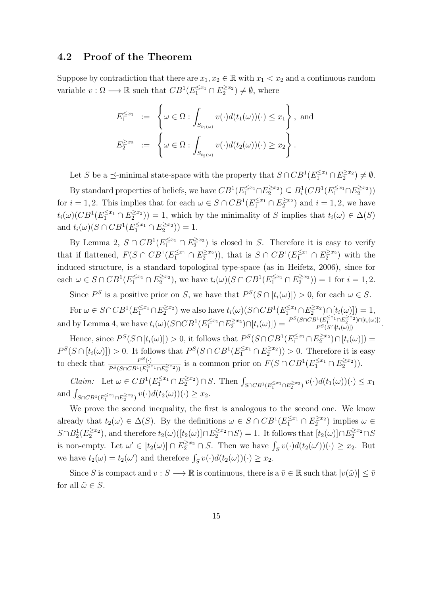#### 4.2 Proof of the Theorem

Suppose by contradiction that there are  $x_1, x_2 \in \mathbb{R}$  with  $x_1 < x_2$  and a continuous random variable  $v : \Omega \longrightarrow \mathbb{R}$  such that  $CB^1(E_1^{\leq x_1} \cap E_2^{\geq x_2}) \neq \emptyset$ , where

$$
E_1^{\leq x_1} := \left\{ \omega \in \Omega : \int_{S_{t_1(\omega)}} v(\cdot) d(t_1(\omega))(\cdot) \leq x_1 \right\}, \text{ and}
$$
  

$$
E_2^{\geq x_2} := \left\{ \omega \in \Omega : \int_{S_{t_2(\omega)}} v(\cdot) d(t_2(\omega))(\cdot) \geq x_2 \right\}.
$$

Let S be a  $\preceq$ -minimal state-space with the property that  $S \cap CB^1(E_1^{\leq x_1} \cap E_2^{\geq x_2}) \neq \emptyset$ . By standard properties of beliefs, we have  $CB^1(E_1^{\leq x_1} \cap E_2^{\geq x_2}) \subseteq B_i^1(CB^1(E_1^{\leq x_1} \cap E_2^{\geq x_2}))$ for  $i = 1, 2$ . This implies that for each  $\omega \in S \cap CB^1(E_1^{\leq x_1} \cap E_2^{\geq x_2})$  and  $i = 1, 2$ , we have  $t_i(\omega)(CB^1(E_1^{\leq x_1} \cap E_2^{\geq x_2})) = 1$ , which by the minimality of S implies that  $t_i(\omega) \in \Delta(S)$ and  $t_i(\omega)(S \cap CB^1(E_1^{\leq x_1} \cap E_2^{\geq x_2})) = 1.$ 

By Lemma 2,  $S \cap CB^1(E_1^{\leq x_1} \cap E_2^{\geq x_2})$  is closed in S. Therefore it is easy to verify that if flattened,  $F(S \cap CB^1(E_1^{\leq x_1} \cap E_2^{\geq x_2}))$ , that is  $S \cap CB^1(E_1^{\leq x_1} \cap E_2^{\geq x_2})$  with the induced structure, is a standard topological type-space (as in Heifetz, 2006), since for each  $\omega \in S \cap CB^1(E_1^{\leq x_1} \cap E_2^{\geq x_2})$ , we have  $t_i(\omega)(S \cap CB^1(E_1^{\leq x_1} \cap E_2^{\geq x_2})) = 1$  for  $i = 1, 2$ .

Since  $P^S$  is a positive prior on S, we have that  $P^S(S \cap [t_i(\omega)]) > 0$ , for each  $\omega \in S$ .

For  $\omega \in S \cap CB^1(E_1^{\leq x_1} \cap E_2^{\geq x_2})$  we also have  $t_i(\omega)(S \cap CB^1(E_1^{\leq x_1} \cap E_2^{\geq x_2}) \cap [t_i(\omega)]) = 1$ , and by Lemma 4, we have  $t_i(\omega)(S \cap CB^1(E_1^{\leq x_1} \cap E_2^{\geq x_2}) \cap [t_i(\omega)]) = \frac{P^S(S \cap CB^1(E_1^{\leq x_1} \cap E_2^{\geq x_2}) \cap [t_i(\omega)])}{P^S(S \cap [t_i(\omega)])}$ .

Hence, since  $P^{S}(S \cap [t_i(\omega)]) > 0$ , it follows that  $P^{S}(S \cap CB^1(E_1^{\leq x_1} \cap E_2^{\geq x_2}) \cap [t_i(\omega)]) =$  $P^{S}(S \cap [t_i(\omega)]) > 0$ . It follows that  $P^{S}(S \cap CB^1(E_1^{\leq x_1} \cap E_2^{\geq x_2})) > 0$ . Therefore it is easy to check that  $\frac{P^S(\cdot)}{P^S(\mathcal{S} \cap \mathcal{S} P^1(\cdot))^{\zeta(\cdot)}}$  $\frac{P^S(\cdot)}{P^S(S \cap CB^1(E_1^{\leq x_1} \cap E_2^{\geq x_2}))}$  is a common prior on  $F(S \cap CB^1(E_1^{\leq x_1} \cap E_2^{\geq x_2}))$ .

Claim: Let  $\omega \in CB^1(E_1^{\leq x_1} \cap E_2^{\geq x_2}) \cap S$ . Then  $\int_{S \cap CB^1(E_1^{\leq x_1} \cap E_2^{\geq x_2})} v(\cdot) d(t_1(\omega))(\cdot) \leq x_1$ and  $\int_{S \cap CB^1(E_1^{\geq x_1} \cap E_2^{\geq x_2})} v(\cdot) d(t_2(\omega))(\cdot) \geq x_2$ .

We prove the second inequality, the first is analogous to the second one. We know already that  $t_2(\omega) \in \Delta(S)$ . By the definitions  $\omega \in S \cap CB^1(E_1^{\leq x_1} \cap E_2^{\geq x_2})$  implies  $\omega \in$  $S \cap B_2^1(E_2^{\geq x_2})$ , and therefore  $t_2(\omega)([t_2(\omega)] \cap E_2^{\geq x_2} \cap S) = 1$ . It follows that  $[t_2(\omega)] \cap E_2^{\geq x_2} \cap S$ is non-empty. Let  $\omega' \in [t_2(\omega)] \cap E_2^{\geq x_2} \cap S$ . Then we have  $\int_S v(\cdot) d(t_2(\omega'))(\cdot) \geq x_2$ . But we have  $t_2(\omega) = t_2(\omega')$  and therefore  $\int_S v(\cdot) d(t_2(\omega))(\cdot) \ge x_2$ .

Since S is compact and  $v : S \longrightarrow \mathbb{R}$  is continuous, there is a  $\overline{v} \in \mathbb{R}$  such that  $|v(\tilde{\omega})| \leq \overline{v}$ for all  $\tilde{\omega} \in S$ .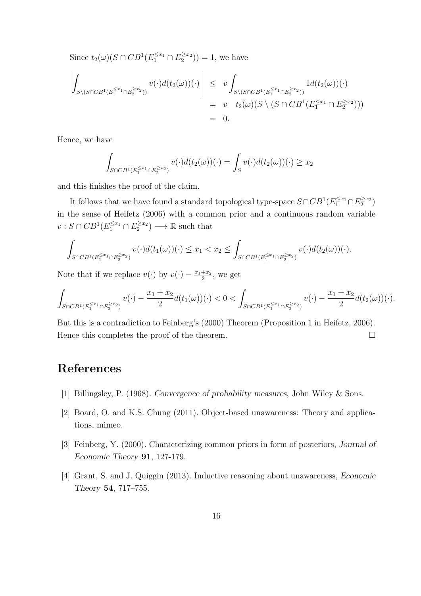Since  $t_2(\omega)(S \cap CB^1(E_1^{\leq x_1} \cap E_2^{\geq x_2})) = 1$ , we have

$$
\left| \int_{S \setminus (S \cap CB^1(E_1^{\leq x_1} \cap E_2^{\geq x_2}))} v(\cdot) d(t_2(\omega)) (\cdot) \right| \leq \bar{v} \int_{S \setminus (S \cap CB^1(E_1^{\leq x_1} \cap E_2^{\geq x_2}))} 1 d(t_2(\omega)) (\cdot) \n= \bar{v} \quad t_2(\omega) (S \setminus (S \cap CB^1(E_1^{\leq x_1} \cap E_2^{\geq x_2}))) \n= 0.
$$

Hence, we have

$$
\int_{S \cap CB^1(E_1^{\le x_1} \cap E_2^{\ge x_2})} v(\cdot) d(t_2(\omega))(\cdot) = \int_S v(\cdot) d(t_2(\omega))(\cdot) \ge x_2
$$

and this finishes the proof of the claim.

It follows that we have found a standard topological type-space  $S \cap CB^1(E_1^{\leq x_1} \cap E_2^{\geq x_2})$ in the sense of Heifetz (2006) with a common prior and a continuous random variable  $v: S \cap CB^1(E_1^{\leq x_1} \cap E_2^{\geq x_2}) \longrightarrow \mathbb{R}$  such that

$$
\int_{S \cap CB^1(E_1^{\le x_1} \cap E_2^{\ge x_2})} v(\cdot) d(t_1(\omega))(\cdot) \le x_1 < x_2 \le \int_{S \cap CB^1(E_1^{\le x_1} \cap E_2^{\ge x_2})} v(\cdot) d(t_2(\omega))(\cdot).
$$

Note that if we replace  $v(\cdot)$  by  $v(\cdot) - \frac{x_1+x_2}{2}$  $\frac{+x_2}{2}$ , we get

$$
\int_{S\cap CB^1(E_1^{\leq x_1}\cap E_2^{\geq x_2})} v(\cdot)-\frac{x_1+x_2}{2}d(t_1(\omega))(\cdot)<0<\int_{S\cap CB^1(E_1^{\leq x_1}\cap E_2^{\geq x_2})} v(\cdot)-\frac{x_1+x_2}{2}d(t_2(\omega))(\cdot).
$$

But this is a contradiction to Feinberg's (2000) Theorem (Proposition 1 in Heifetz, 2006). Hence this completes the proof of the theorem.

## References

- [1] Billingsley, P. (1968). Convergence of probability measures, John Wiley & Sons.
- [2] Board, O. and K.S. Chung (2011). Object-based unawareness: Theory and applications, mimeo.
- [3] Feinberg, Y. (2000). Characterizing common priors in form of posteriors, Journal of Economic Theory 91, 127-179.
- [4] Grant, S. and J. Quiggin (2013). Inductive reasoning about unawareness, Economic Theory 54, 717–755.